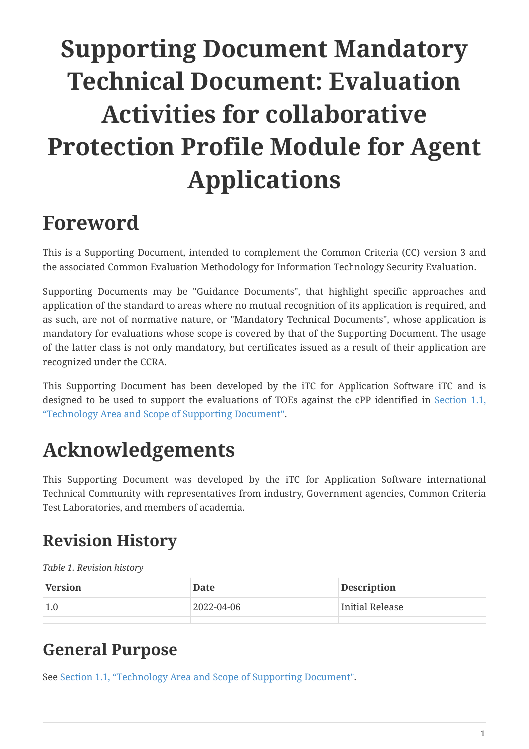# **Supporting Document Mandatory Technical Document: Evaluation Activities for collaborative Protection Profile Module for Agent Applications**

# <span id="page-0-0"></span>**Foreword**

This is a Supporting Document, intended to complement the Common Criteria (CC) version 3 and the associated Common Evaluation Methodology for Information Technology Security Evaluation.

Supporting Documents may be "Guidance Documents", that highlight specific approaches and application of the standard to areas where no mutual recognition of its application is required, and as such, are not of normative nature, or "Mandatory Technical Documents", whose application is mandatory for evaluations whose scope is covered by that of the Supporting Document. The usage of the latter class is not only mandatory, but certificates issued as a result of their application are recognized under the CCRA.

This Supporting Document has been developed by the iTC for Application Software iTC and is designed to be used to support the evaluations of TOEs against the cPP identified in [Section 1.1,](#page-2-0) ["Technology Area and Scope of Supporting Document"](#page-2-0).

# <span id="page-0-1"></span>**Acknowledgements**

This Supporting Document was developed by the iTC for Application Software international Technical Community with representatives from industry, Government agencies, Common Criteria Test Laboratories, and members of academia.

# <span id="page-0-2"></span>**Revision History**

*Table 1. Revision history*

| Version | Date       | Description     |
|---------|------------|-----------------|
| 1.0     | 2022-04-06 | Initial Release |
|         |            |                 |

## <span id="page-0-3"></span>**General Purpose**

See [Section 1.1, "Technology Area and Scope of Supporting Document".](#page-2-0)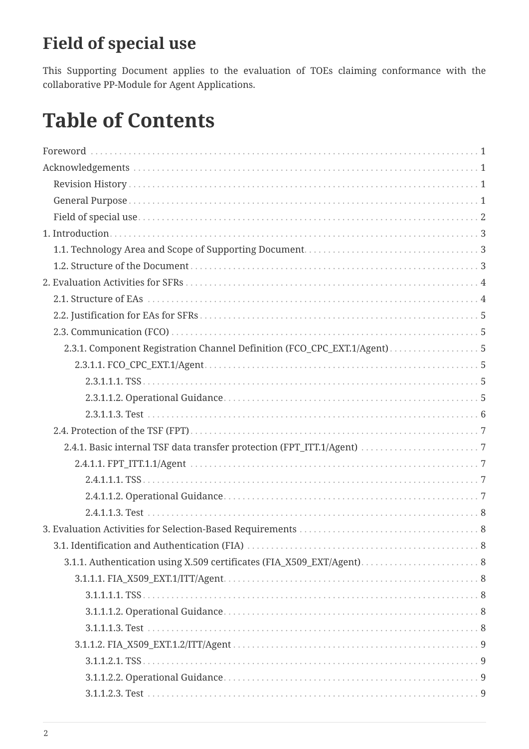# <span id="page-1-0"></span>**Field of special use**

This Supporting Document applies to the evaluation of TOEs claiming conformance with the collaborative PP-Module for Agent Applications.

# **Table of Contents**

| 2.3.1. Component Registration Channel Definition (FCO_CPC_EXT.1/Agent) 5 |  |
|--------------------------------------------------------------------------|--|
|                                                                          |  |
|                                                                          |  |
|                                                                          |  |
|                                                                          |  |
|                                                                          |  |
|                                                                          |  |
|                                                                          |  |
|                                                                          |  |
|                                                                          |  |
|                                                                          |  |
|                                                                          |  |
|                                                                          |  |
| 3.1.1. Authentication using X.509 certificates (FIA_X509_EXT/Agent) 8    |  |
|                                                                          |  |
|                                                                          |  |
|                                                                          |  |
|                                                                          |  |
|                                                                          |  |
|                                                                          |  |
|                                                                          |  |
|                                                                          |  |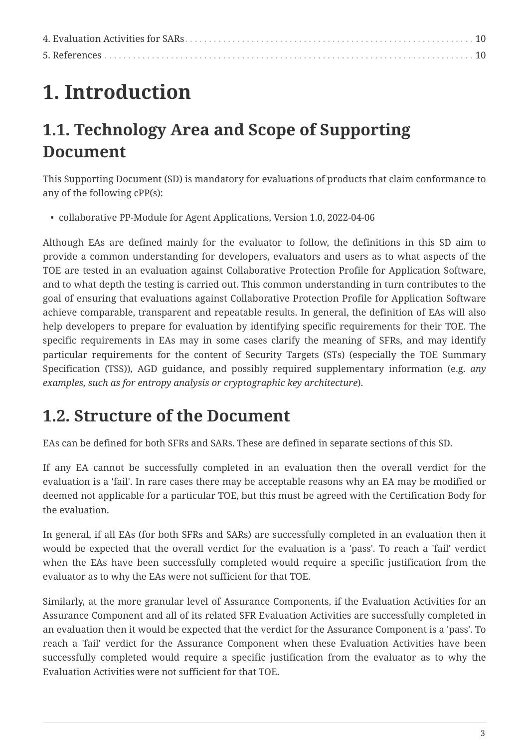# <span id="page-2-1"></span>**1. Introduction**

# <span id="page-2-0"></span>**1.1. Technology Area and Scope of Supporting Document**

This Supporting Document (SD) is mandatory for evaluations of products that claim conformance to any of the following cPP(s):

• collaborative PP-Module for Agent Applications, Version 1.0, 2022-04-06

Although EAs are defined mainly for the evaluator to follow, the definitions in this SD aim to provide a common understanding for developers, evaluators and users as to what aspects of the TOE are tested in an evaluation against Collaborative Protection Profile for Application Software, and to what depth the testing is carried out. This common understanding in turn contributes to the goal of ensuring that evaluations against Collaborative Protection Profile for Application Software achieve comparable, transparent and repeatable results. In general, the definition of EAs will also help developers to prepare for evaluation by identifying specific requirements for their TOE. The specific requirements in EAs may in some cases clarify the meaning of SFRs, and may identify particular requirements for the content of Security Targets (STs) (especially the TOE Summary Specification (TSS)), AGD guidance, and possibly required supplementary information (e.g. *any examples, such as for entropy analysis or cryptographic key architecture*).

## <span id="page-2-2"></span>**1.2. Structure of the Document**

EAs can be defined for both SFRs and SARs. These are defined in separate sections of this SD.

If any EA cannot be successfully completed in an evaluation then the overall verdict for the evaluation is a 'fail'. In rare cases there may be acceptable reasons why an EA may be modified or deemed not applicable for a particular TOE, but this must be agreed with the Certification Body for the evaluation.

In general, if all EAs (for both SFRs and SARs) are successfully completed in an evaluation then it would be expected that the overall verdict for the evaluation is a 'pass'. To reach a 'fail' verdict when the EAs have been successfully completed would require a specific justification from the evaluator as to why the EAs were not sufficient for that TOE.

Similarly, at the more granular level of Assurance Components, if the Evaluation Activities for an Assurance Component and all of its related SFR Evaluation Activities are successfully completed in an evaluation then it would be expected that the verdict for the Assurance Component is a 'pass'. To reach a 'fail' verdict for the Assurance Component when these Evaluation Activities have been successfully completed would require a specific justification from the evaluator as to why the Evaluation Activities were not sufficient for that TOE.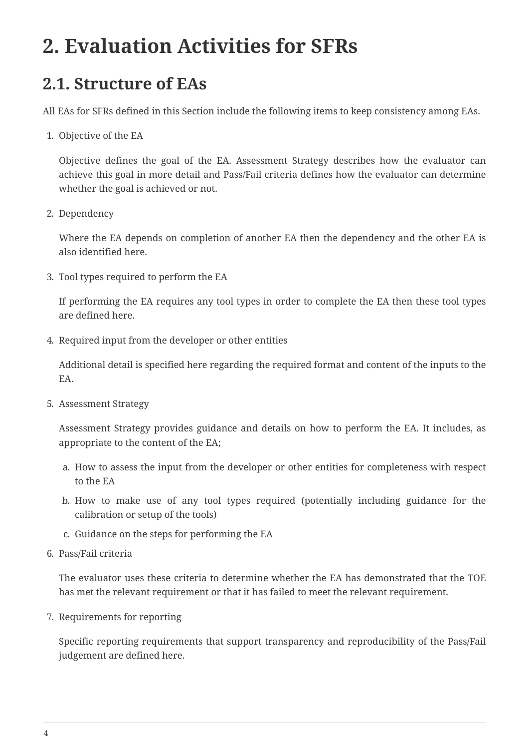# <span id="page-3-0"></span>**2. Evaluation Activities for SFRs**

## <span id="page-3-1"></span>**2.1. Structure of EAs**

All EAs for SFRs defined in this Section include the following items to keep consistency among EAs.

1. Objective of the EA

Objective defines the goal of the EA. Assessment Strategy describes how the evaluator can achieve this goal in more detail and Pass/Fail criteria defines how the evaluator can determine whether the goal is achieved or not.

2. Dependency

Where the EA depends on completion of another EA then the dependency and the other EA is also identified here.

3. Tool types required to perform the EA

If performing the EA requires any tool types in order to complete the EA then these tool types are defined here.

4. Required input from the developer or other entities

Additional detail is specified here regarding the required format and content of the inputs to the EA.

5. Assessment Strategy

Assessment Strategy provides guidance and details on how to perform the EA. It includes, as appropriate to the content of the EA;

- a. How to assess the input from the developer or other entities for completeness with respect to the EA
- b. How to make use of any tool types required (potentially including guidance for the calibration or setup of the tools)
- c. Guidance on the steps for performing the EA
- 6. Pass/Fail criteria

The evaluator uses these criteria to determine whether the EA has demonstrated that the TOE has met the relevant requirement or that it has failed to meet the relevant requirement.

7. Requirements for reporting

Specific reporting requirements that support transparency and reproducibility of the Pass/Fail judgement are defined here.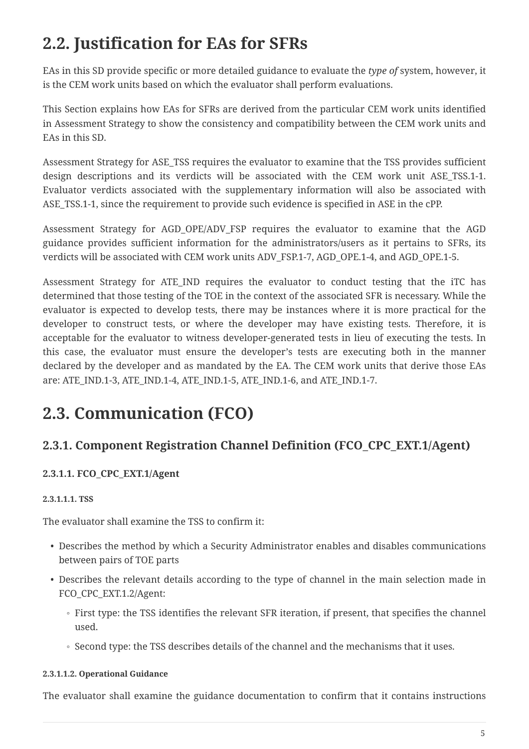# <span id="page-4-0"></span>**2.2. Justification for EAs for SFRs**

EAs in this SD provide specific or more detailed guidance to evaluate the *type of* system, however, it is the CEM work units based on which the evaluator shall perform evaluations.

This Section explains how EAs for SFRs are derived from the particular CEM work units identified in Assessment Strategy to show the consistency and compatibility between the CEM work units and EAs in this SD.

Assessment Strategy for ASE\_TSS requires the evaluator to examine that the TSS provides sufficient design descriptions and its verdicts will be associated with the CEM work unit ASE\_TSS.1-1. Evaluator verdicts associated with the supplementary information will also be associated with ASE\_TSS.1-1, since the requirement to provide such evidence is specified in ASE in the cPP.

Assessment Strategy for AGD OPE/ADV FSP requires the evaluator to examine that the AGD guidance provides sufficient information for the administrators/users as it pertains to SFRs, its verdicts will be associated with CEM work units ADV\_FSP.1-7, AGD\_OPE.1-4, and AGD\_OPE.1-5.

Assessment Strategy for ATE\_IND requires the evaluator to conduct testing that the iTC has determined that those testing of the TOE in the context of the associated SFR is necessary. While the evaluator is expected to develop tests, there may be instances where it is more practical for the developer to construct tests, or where the developer may have existing tests. Therefore, it is acceptable for the evaluator to witness developer-generated tests in lieu of executing the tests. In this case, the evaluator must ensure the developer's tests are executing both in the manner declared by the developer and as mandated by the EA. The CEM work units that derive those EAs are: ATE\_IND.1-3, ATE\_IND.1-4, ATE\_IND.1-5, ATE\_IND.1-6, and ATE\_IND.1-7.

## <span id="page-4-1"></span>**2.3. Communication (FCO)**

## <span id="page-4-2"></span>**2.3.1. Component Registration Channel Definition (FCO\_CPC\_EXT.1/Agent)**

### <span id="page-4-3"></span>**2.3.1.1. FCO\_CPC\_EXT.1/Agent**

### <span id="page-4-4"></span>**2.3.1.1.1. TSS**

The evaluator shall examine the TSS to confirm it:

- Describes the method by which a Security Administrator enables and disables communications between pairs of TOE parts
- Describes the relevant details according to the type of channel in the main selection made in FCO\_CPC\_EXT.1.2/Agent:
	- First type: the TSS identifies the relevant SFR iteration, if present, that specifies the channel used.
	- Second type: the TSS describes details of the channel and the mechanisms that it uses.

#### <span id="page-4-5"></span>**2.3.1.1.2. Operational Guidance**

The evaluator shall examine the guidance documentation to confirm that it contains instructions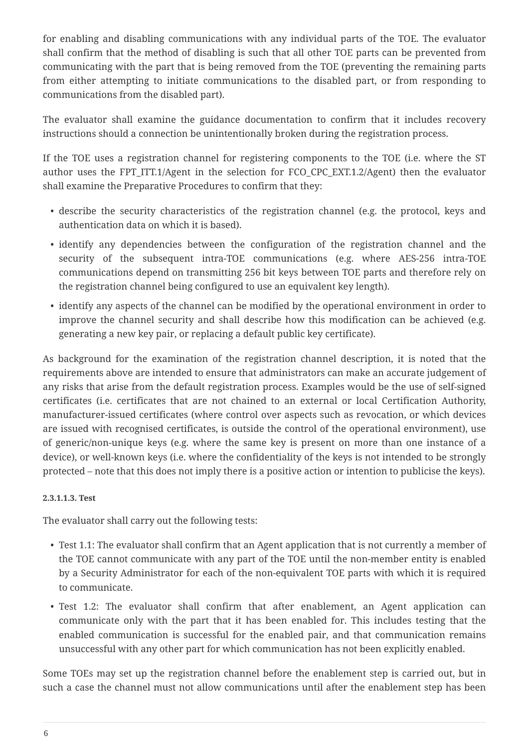for enabling and disabling communications with any individual parts of the TOE. The evaluator shall confirm that the method of disabling is such that all other TOE parts can be prevented from communicating with the part that is being removed from the TOE (preventing the remaining parts from either attempting to initiate communications to the disabled part, or from responding to communications from the disabled part).

The evaluator shall examine the guidance documentation to confirm that it includes recovery instructions should a connection be unintentionally broken during the registration process.

If the TOE uses a registration channel for registering components to the TOE (i.e. where the ST author uses the FPT ITT.1/Agent in the selection for FCO CPC EXT.1.2/Agent) then the evaluator shall examine the Preparative Procedures to confirm that they:

- describe the security characteristics of the registration channel (e.g. the protocol, keys and authentication data on which it is based).
- identify any dependencies between the configuration of the registration channel and the security of the subsequent intra-TOE communications (e.g. where AES-256 intra-TOE communications depend on transmitting 256 bit keys between TOE parts and therefore rely on the registration channel being configured to use an equivalent key length).
- identify any aspects of the channel can be modified by the operational environment in order to improve the channel security and shall describe how this modification can be achieved (e.g. generating a new key pair, or replacing a default public key certificate).

As background for the examination of the registration channel description, it is noted that the requirements above are intended to ensure that administrators can make an accurate judgement of any risks that arise from the default registration process. Examples would be the use of self-signed certificates (i.e. certificates that are not chained to an external or local Certification Authority, manufacturer-issued certificates (where control over aspects such as revocation, or which devices are issued with recognised certificates, is outside the control of the operational environment), use of generic/non-unique keys (e.g. where the same key is present on more than one instance of a device), or well-known keys (i.e. where the confidentiality of the keys is not intended to be strongly protected – note that this does not imply there is a positive action or intention to publicise the keys).

#### <span id="page-5-0"></span>**2.3.1.1.3. Test**

The evaluator shall carry out the following tests:

- Test 1.1: The evaluator shall confirm that an Agent application that is not currently a member of the TOE cannot communicate with any part of the TOE until the non-member entity is enabled by a Security Administrator for each of the non-equivalent TOE parts with which it is required to communicate.
- Test 1.2: The evaluator shall confirm that after enablement, an Agent application can communicate only with the part that it has been enabled for. This includes testing that the enabled communication is successful for the enabled pair, and that communication remains unsuccessful with any other part for which communication has not been explicitly enabled.

Some TOEs may set up the registration channel before the enablement step is carried out, but in such a case the channel must not allow communications until after the enablement step has been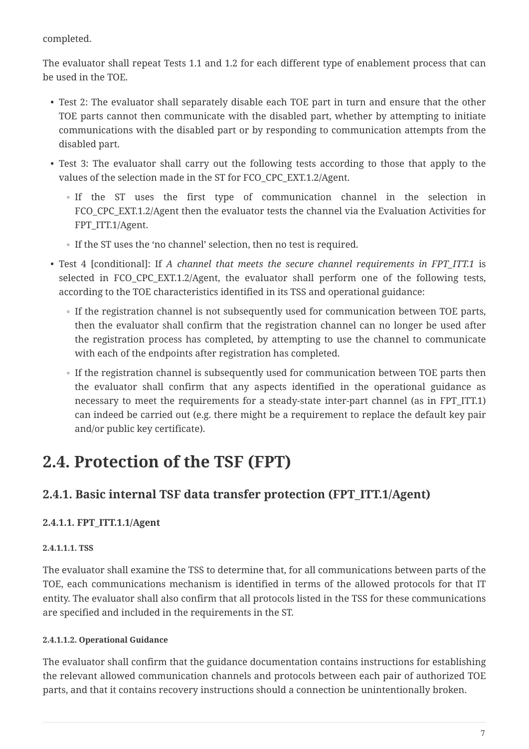completed.

The evaluator shall repeat Tests 1.1 and 1.2 for each different type of enablement process that can be used in the TOE.

- Test 2: The evaluator shall separately disable each TOE part in turn and ensure that the other TOE parts cannot then communicate with the disabled part, whether by attempting to initiate communications with the disabled part or by responding to communication attempts from the disabled part.
- Test 3: The evaluator shall carry out the following tests according to those that apply to the values of the selection made in the ST for FCO\_CPC\_EXT.1.2/Agent.
	- If the ST uses the first type of communication channel in the selection in FCO CPC EXT.1.2/Agent then the evaluator tests the channel via the Evaluation Activities for FPT\_ITT.1/Agent.
	- If the ST uses the 'no channel' selection, then no test is required.
- Test 4 [conditional]: If *A channel that meets the secure channel requirements in FPT\_ITT.1* is selected in FCO\_CPC\_EXT.1.2/Agent, the evaluator shall perform one of the following tests, according to the TOE characteristics identified in its TSS and operational guidance:
	- If the registration channel is not subsequently used for communication between TOE parts, then the evaluator shall confirm that the registration channel can no longer be used after the registration process has completed, by attempting to use the channel to communicate with each of the endpoints after registration has completed.
	- If the registration channel is subsequently used for communication between TOE parts then the evaluator shall confirm that any aspects identified in the operational guidance as necessary to meet the requirements for a steady-state inter-part channel (as in FPT\_ITT.1) can indeed be carried out (e.g. there might be a requirement to replace the default key pair and/or public key certificate).

## <span id="page-6-0"></span>**2.4. Protection of the TSF (FPT)**

## <span id="page-6-1"></span>**2.4.1. Basic internal TSF data transfer protection (FPT\_ITT.1/Agent)**

### <span id="page-6-2"></span>**2.4.1.1. FPT\_ITT.1.1/Agent**

### <span id="page-6-3"></span>**2.4.1.1.1. TSS**

The evaluator shall examine the TSS to determine that, for all communications between parts of the TOE, each communications mechanism is identified in terms of the allowed protocols for that IT entity. The evaluator shall also confirm that all protocols listed in the TSS for these communications are specified and included in the requirements in the ST.

### <span id="page-6-4"></span>**2.4.1.1.2. Operational Guidance**

The evaluator shall confirm that the guidance documentation contains instructions for establishing the relevant allowed communication channels and protocols between each pair of authorized TOE parts, and that it contains recovery instructions should a connection be unintentionally broken.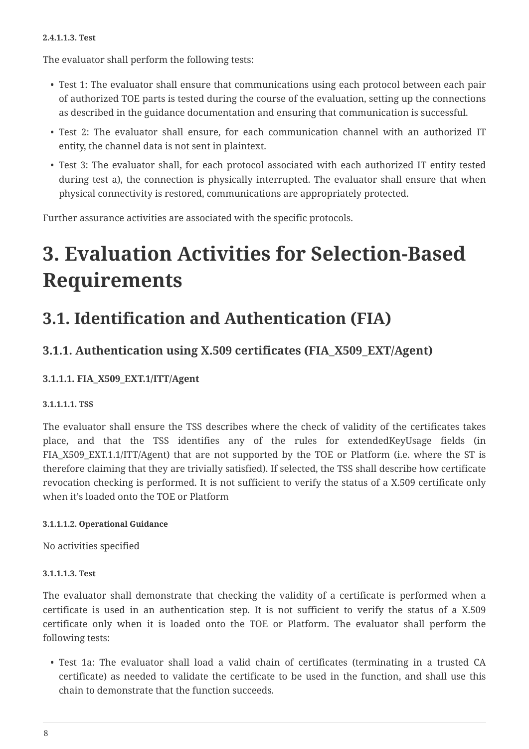#### <span id="page-7-0"></span>**2.4.1.1.3. Test**

The evaluator shall perform the following tests:

- Test 1: The evaluator shall ensure that communications using each protocol between each pair of authorized TOE parts is tested during the course of the evaluation, setting up the connections as described in the guidance documentation and ensuring that communication is successful.
- Test 2: The evaluator shall ensure, for each communication channel with an authorized IT entity, the channel data is not sent in plaintext.
- Test 3: The evaluator shall, for each protocol associated with each authorized IT entity tested during test a), the connection is physically interrupted. The evaluator shall ensure that when physical connectivity is restored, communications are appropriately protected.

Further assurance activities are associated with the specific protocols.

# <span id="page-7-1"></span>**3. Evaluation Activities for Selection-Based Requirements**

# <span id="page-7-2"></span>**3.1. Identification and Authentication (FIA)**

## <span id="page-7-3"></span>**3.1.1. Authentication using X.509 certificates (FIA\_X509\_EXT/Agent)**

## <span id="page-7-4"></span>**3.1.1.1. FIA\_X509\_EXT.1/ITT/Agent**

### <span id="page-7-5"></span>**3.1.1.1.1. TSS**

The evaluator shall ensure the TSS describes where the check of validity of the certificates takes place, and that the TSS identifies any of the rules for extendedKeyUsage fields (in FIA X509 EXT.1.1/ITT/Agent) that are not supported by the TOE or Platform (i.e. where the ST is therefore claiming that they are trivially satisfied). If selected, the TSS shall describe how certificate revocation checking is performed. It is not sufficient to verify the status of a X.509 certificate only when it's loaded onto the TOE or Platform

### <span id="page-7-6"></span>**3.1.1.1.2. Operational Guidance**

No activities specified

### <span id="page-7-7"></span>**3.1.1.1.3. Test**

The evaluator shall demonstrate that checking the validity of a certificate is performed when a certificate is used in an authentication step. It is not sufficient to verify the status of a X.509 certificate only when it is loaded onto the TOE or Platform. The evaluator shall perform the following tests:

• Test 1a: The evaluator shall load a valid chain of certificates (terminating in a trusted CA certificate) as needed to validate the certificate to be used in the function, and shall use this chain to demonstrate that the function succeeds.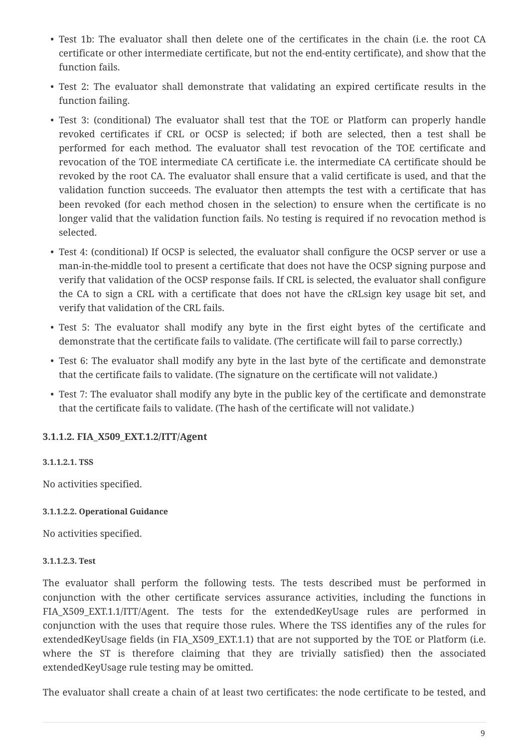- Test 1b: The evaluator shall then delete one of the certificates in the chain (i.e. the root CA certificate or other intermediate certificate, but not the end-entity certificate), and show that the function fails.
- Test 2: The evaluator shall demonstrate that validating an expired certificate results in the function failing.
- Test 3: (conditional) The evaluator shall test that the TOE or Platform can properly handle revoked certificates if CRL or OCSP is selected; if both are selected, then a test shall be performed for each method. The evaluator shall test revocation of the TOE certificate and revocation of the TOE intermediate CA certificate i.e. the intermediate CA certificate should be revoked by the root CA. The evaluator shall ensure that a valid certificate is used, and that the validation function succeeds. The evaluator then attempts the test with a certificate that has been revoked (for each method chosen in the selection) to ensure when the certificate is no longer valid that the validation function fails. No testing is required if no revocation method is selected.
- Test 4: (conditional) If OCSP is selected, the evaluator shall configure the OCSP server or use a man-in-the-middle tool to present a certificate that does not have the OCSP signing purpose and verify that validation of the OCSP response fails. If CRL is selected, the evaluator shall configure the CA to sign a CRL with a certificate that does not have the cRLsign key usage bit set, and verify that validation of the CRL fails.
- Test 5: The evaluator shall modify any byte in the first eight bytes of the certificate and demonstrate that the certificate fails to validate. (The certificate will fail to parse correctly.)
- Test 6: The evaluator shall modify any byte in the last byte of the certificate and demonstrate that the certificate fails to validate. (The signature on the certificate will not validate.)
- Test 7: The evaluator shall modify any byte in the public key of the certificate and demonstrate that the certificate fails to validate. (The hash of the certificate will not validate.)

### <span id="page-8-0"></span>**3.1.1.2. FIA\_X509\_EXT.1.2/ITT/Agent**

### <span id="page-8-1"></span>**3.1.1.2.1. TSS**

No activities specified.

#### <span id="page-8-2"></span>**3.1.1.2.2. Operational Guidance**

No activities specified.

#### <span id="page-8-3"></span>**3.1.1.2.3. Test**

The evaluator shall perform the following tests. The tests described must be performed in conjunction with the other certificate services assurance activities, including the functions in FIA X509 EXT.1.1/ITT/Agent. The tests for the extendedKeyUsage rules are performed in conjunction with the uses that require those rules. Where the TSS identifies any of the rules for extendedKeyUsage fields (in FIA\_X509\_EXT.1.1) that are not supported by the TOE or Platform (i.e. where the ST is therefore claiming that they are trivially satisfied) then the associated extendedKeyUsage rule testing may be omitted.

The evaluator shall create a chain of at least two certificates: the node certificate to be tested, and